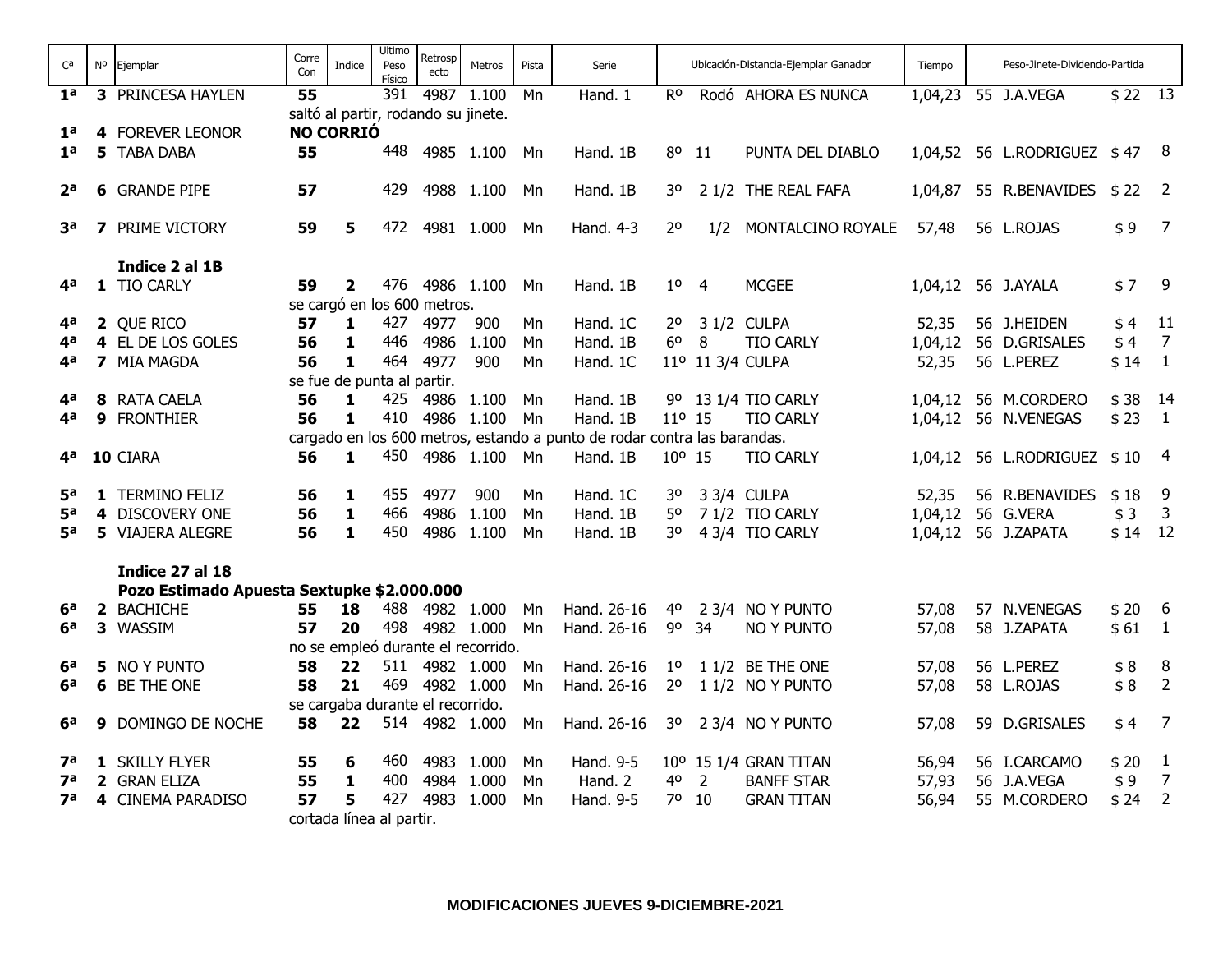| $C^a$          | No | Ejemplar                                   | Corre<br>Con | Indice                          | Ultimo<br>Peso<br>Físico | Retrosp<br>ecto                     | Metros                             | Pista    | Serie                                                                    |                      |                | Ubicación-Distancia-Ejemplar Ganador | Tiempo  | Peso-Jinete-Dividendo-Partida |            |                         |
|----------------|----|--------------------------------------------|--------------|---------------------------------|--------------------------|-------------------------------------|------------------------------------|----------|--------------------------------------------------------------------------|----------------------|----------------|--------------------------------------|---------|-------------------------------|------------|-------------------------|
| 1 <sup>a</sup> |    | 3 PRINCESA HAYLEN                          | 55           |                                 | 391                      |                                     | 4987 1.100                         | Mn       | Hand. 1                                                                  | $R^{\rm o}$          |                | Rodó AHORA ES NUNCA                  |         | 1,04,23 55 J.A.VEGA           | $$22$ $13$ |                         |
|                |    |                                            |              |                                 |                          | saltó al partir, rodando su jinete. |                                    |          |                                                                          |                      |                |                                      |         |                               |            |                         |
| 1 <sup>a</sup> |    | 4 FOREVER LEONOR                           |              | <b>NO CORRIÓ</b>                |                          |                                     |                                    |          |                                                                          |                      |                |                                      |         |                               |            |                         |
| 1 <sup>a</sup> |    | 5 TABA DABA                                | 55           |                                 | 448                      |                                     | 4985 1.100                         | Mn       | Hand. 1B                                                                 | 80                   | -11            | PUNTA DEL DIABLO                     | 1,04,52 | 56 L.RODRIGUEZ \$47 8         |            |                         |
| 2 <sup>a</sup> |    | <b>6</b> GRANDE PIPE                       | 57           |                                 | 429                      |                                     | 4988 1.100                         | Mn       | Hand. 1B                                                                 | 30                   |                | 2 1/2 THE REAL FAFA                  | 1,04,87 | 55 R.BENAVIDES                | $$22$ 2    |                         |
| за             |    | <b>7</b> PRIME VICTORY                     | 59           | 5                               | 472                      |                                     | 4981 1.000                         | Mn       | Hand. 4-3                                                                | 2 <sup>o</sup>       | 1/2            | MONTALCINO ROYALE                    | 57,48   | 56 L.ROJAS                    | \$9        | $\overline{7}$          |
|                |    |                                            |              |                                 |                          |                                     |                                    |          |                                                                          |                      |                |                                      |         |                               |            |                         |
|                |    | Indice 2 al 1B                             |              |                                 |                          |                                     |                                    |          |                                                                          |                      |                |                                      |         |                               |            |                         |
| 4а             |    | 1 TIO CARLY                                | 59           | $\overline{2}$                  | 476                      |                                     | 4986 1.100                         | Mn       | Hand. 1B                                                                 | $1^{\circ}$          | -4             | <b>MCGEE</b>                         | 1,04,12 | 56 J.AYALA                    | \$7        | - 9                     |
| 4а             |    |                                            |              |                                 | 427                      | se cargó en los 600 metros.<br>4977 | 900                                |          | Hand. 1C                                                                 |                      |                | 3 1/2 CULPA                          |         | 56 J.HEIDEN                   | \$4        | 11                      |
| 4а             |    | 2 QUE RICO<br>4 EL DE LOS GOLES            | 57<br>56     | 1<br>$\mathbf{1}$               | 446                      | 4986                                | 1.100                              | Mn       | Hand. 1B                                                                 | 2°<br>6 <sup>o</sup> | 8              | <b>TIO CARLY</b>                     | 52,35   |                               |            | $\overline{7}$          |
|                |    |                                            |              |                                 | 464                      | 4977                                | 900                                | Mn       |                                                                          |                      |                |                                      | 1,04,12 | 56 D.GRISALES                 | \$4        |                         |
| 4а             |    | 7 MIA MAGDA                                | 56           | 1                               |                          |                                     |                                    | Mn       | Hand. 1C                                                                 |                      |                | 11º 11 3/4 CULPA                     | 52,35   | 56 L.PEREZ                    | \$14       | $\mathbf{1}$            |
| 4а             |    | 8 RATA CAELA                               | 56           | se fue de punta al partir.<br>1 | 425                      | 4986                                |                                    |          |                                                                          |                      |                | 9º 13 1/4 TIO CARLY                  |         | 1,04,12 56 M.CORDERO          | $$38$ 14   |                         |
| 4a             |    | 9 FRONTHIER                                | 56           | 1                               | 410                      |                                     | 1.100<br>4986 1.100                | Mn<br>Mn | Hand. 1B<br>Hand. 1B                                                     | 11 <sup>o</sup> 15   |                | <b>TIO CARLY</b>                     | 1,04,12 | 56 N.VENEGAS                  | \$23       | $\overline{1}$          |
|                |    |                                            |              |                                 |                          |                                     |                                    |          | cargado en los 600 metros, estando a punto de rodar contra las barandas. |                      |                |                                      |         |                               |            |                         |
| 4ª             |    | 10 CIARA                                   | 56           | 1                               | 450                      |                                     | 4986 1.100                         | Mn       | Hand. 1B                                                                 | 10° 15               |                | <b>TIO CARLY</b>                     | 1,04,12 | 56 L.RODRIGUEZ \$10           |            | $\overline{\mathbf{4}}$ |
|                |    |                                            |              |                                 |                          |                                     |                                    |          |                                                                          |                      |                |                                      |         |                               |            |                         |
| 5 <sup>a</sup> |    | 1 TERMINO FELIZ                            | 56           | 1                               | 455                      | 4977                                | 900                                | Mn       | Hand. 1C                                                                 | 30                   |                | 3 3/4 CULPA                          | 52,35   | 56 R.BENAVIDES                | \$18       | 9                       |
| <b>5a</b>      |    | 4 DISCOVERY ONE                            | 56           | $\mathbf{1}$                    | 466                      | 4986                                | 1.100                              | Mn       | Hand, 1B                                                                 | 50                   |                | 7 1/2 TIO CARLY                      | 1,04,12 | 56 G.VERA                     | \$3        | 3                       |
| 5а             |    | <b>5</b> VIAJERA ALEGRE                    | 56           | $\mathbf{1}$                    | 450                      |                                     | 4986 1.100                         | Mn       | Hand. 1B                                                                 | 30                   |                | 4 3/4 TIO CARLY                      |         | 1,04,12 56 J.ZAPATA           | $$14$ 12   |                         |
|                |    |                                            |              |                                 |                          |                                     |                                    |          |                                                                          |                      |                |                                      |         |                               |            |                         |
|                |    | Indice 27 al 18                            |              |                                 |                          |                                     |                                    |          |                                                                          |                      |                |                                      |         |                               |            |                         |
|                |    | Pozo Estimado Apuesta Sextupke \$2.000.000 |              |                                 |                          |                                     |                                    |          |                                                                          |                      |                |                                      |         |                               |            |                         |
| 6а             |    | 2 BACHICHE                                 | 55           | 18                              | 488                      |                                     | 4982 1.000                         | Mn       | Hand, 26-16                                                              | 40                   |                | 2 3/4 NO Y PUNTO                     | 57,08   | 57 N.VENEGAS                  | $$20 \t 6$ |                         |
| 6a             |    | 3 WASSIM                                   | 57           | 20                              | 498                      |                                     | 4982 1.000                         | Mn       | Hand. 26-16                                                              | 90                   | 34             | <b>NO Y PUNTO</b>                    | 57,08   | 58 J.ZAPATA                   | \$61       | $\overline{1}$          |
|                |    |                                            |              |                                 |                          |                                     | no se empleó durante el recorrido. |          |                                                                          |                      |                |                                      |         |                               |            |                         |
| 6а             |    | 5 NO Y PUNTO                               | 58           | 22                              | 511                      |                                     | 4982 1.000                         | Mn       | Hand. 26-16                                                              | $1^{\circ}$          |                | 1 1/2 BE THE ONE                     | 57,08   | 56 L.PEREZ                    | \$8        | 8                       |
| 6a             |    | 6 BE THE ONE                               | 58           | 21                              | 469                      |                                     | 4982 1.000                         | Mn       | Hand. 26-16                                                              | 2 <sup>o</sup>       |                | 1 1/2 NO Y PUNTO                     | 57,08   | 58 L.ROJAS                    | \$8        | $\overline{2}$          |
|                |    |                                            |              |                                 |                          | se cargaba durante el recorrido.    |                                    |          |                                                                          |                      |                |                                      |         |                               |            |                         |
| 6а             | 9  | DOMINGO DE NOCHE                           | 58           | 22                              |                          |                                     | 514 4982 1.000                     | Mn       | Hand. 26-16                                                              | 30                   |                | 2 3/4 NO Y PUNTO                     | 57,08   | 59 D.GRISALES                 | \$4        | $\overline{7}$          |
| 7а             |    | 1 SKILLY FLYER                             | 55           | 6                               | 460                      |                                     | 4983 1.000                         | Mn       | Hand. 9-5                                                                |                      |                | 10° 15 1/4 GRAN TITAN                | 56,94   | 56 I.CARCAMO                  | \$20       | -1                      |
| 7а             |    | 2 GRAN ELIZA                               | 55           | $\mathbf{1}$                    | 400                      |                                     | 4984 1.000                         | Mn       | Hand. 2                                                                  | 40                   | $\overline{2}$ | <b>BANFF STAR</b>                    | 57,93   | 56 J.A.VEGA                   | \$9        | $\overline{7}$          |
| <b>7</b> a     |    | 4 CINEMA PARADISO                          | 57           | 5                               | 427                      |                                     | 4983 1.000                         | Mn       | Hand. 9-5                                                                | 70                   | 10             | <b>GRAN TITAN</b>                    | 56,94   | 55 M.CORDERO                  | \$24       | $\overline{2}$          |
|                |    |                                            |              | cortada línea al partir.        |                          |                                     |                                    |          |                                                                          |                      |                |                                      |         |                               |            |                         |
|                |    |                                            |              |                                 |                          |                                     |                                    |          |                                                                          |                      |                |                                      |         |                               |            |                         |